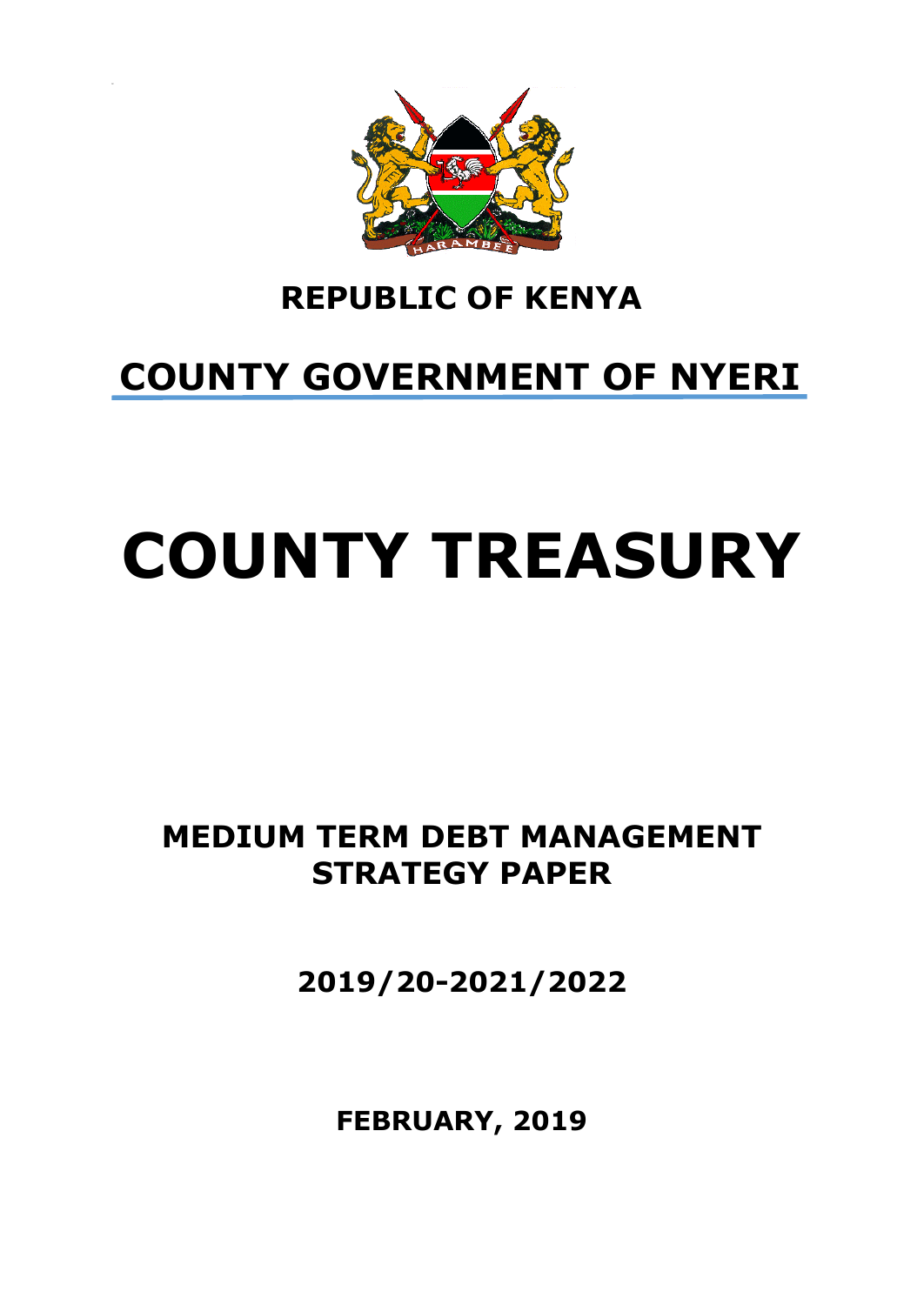

# **REPUBLIC OF KENYA**

# **COUNTY GOVERNMENT OF NYERI**

# **COUNTY TREASURY**

# **MEDIUM TERM DEBT MANAGEMENT STRATEGY PAPER**

**2019/20-2021/2022**

**FEBRUARY, 2019**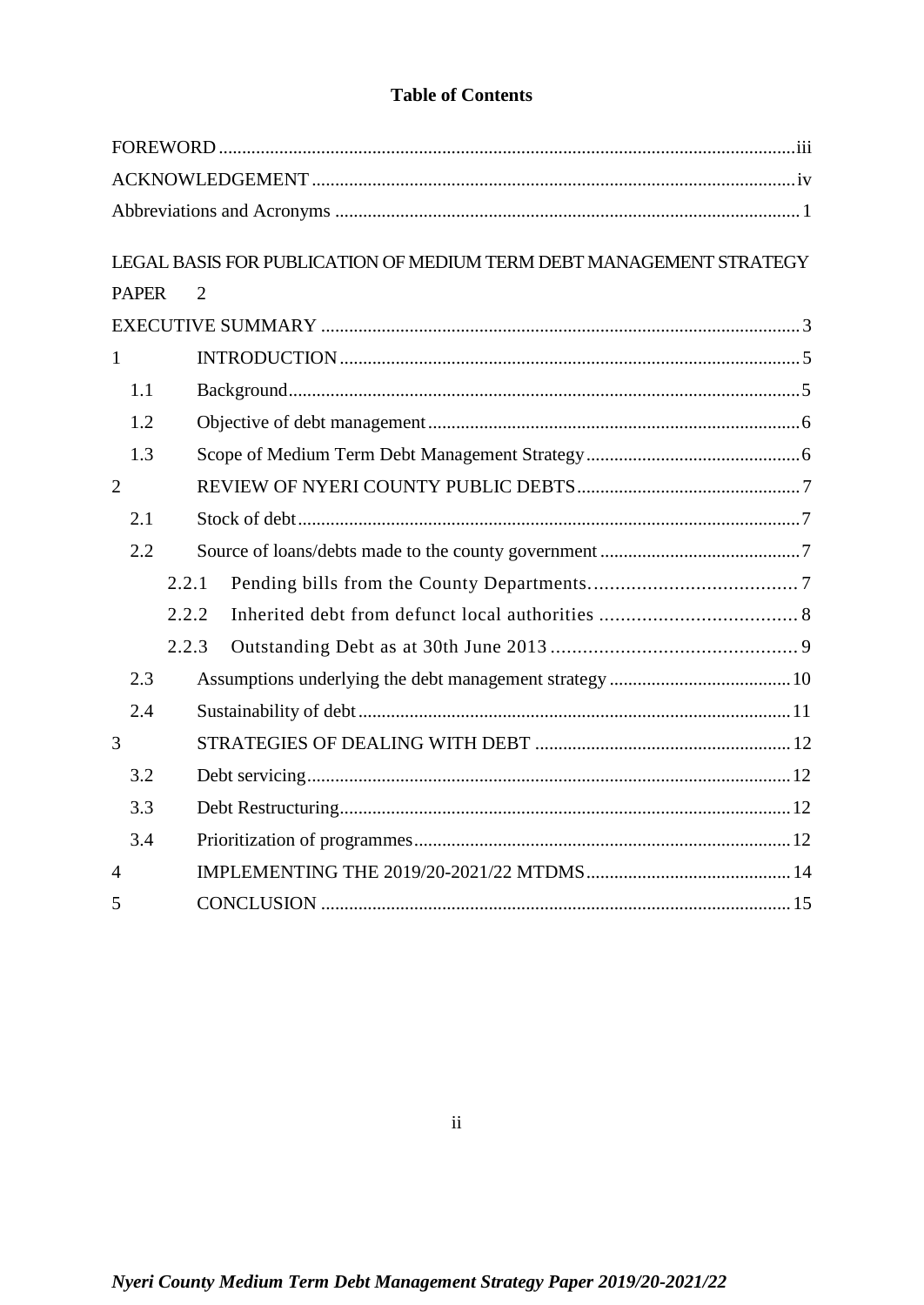# **Table of Contents**

|                |       | LEGAL BASIS FOR PUBLICATION OF MEDIUM TERM DEBT MANAGEMENT STRATEGY |  |
|----------------|-------|---------------------------------------------------------------------|--|
| <b>PAPER</b>   | 2     |                                                                     |  |
|                |       |                                                                     |  |
| $\mathbf{1}$   |       |                                                                     |  |
| 1.1            |       |                                                                     |  |
| 1.2            |       |                                                                     |  |
| 1.3            |       |                                                                     |  |
| $\overline{2}$ |       |                                                                     |  |
| 2.1            |       |                                                                     |  |
| 2.2            |       |                                                                     |  |
|                | 2.2.1 |                                                                     |  |
|                | 2.2.2 |                                                                     |  |
|                | 2.2.3 |                                                                     |  |
| 2.3            |       |                                                                     |  |
| 2.4            |       |                                                                     |  |
| 3              |       |                                                                     |  |
| 3.2            |       |                                                                     |  |
| 3.3            |       |                                                                     |  |
| 3.4            |       |                                                                     |  |
| $\overline{4}$ |       |                                                                     |  |
| 5              |       |                                                                     |  |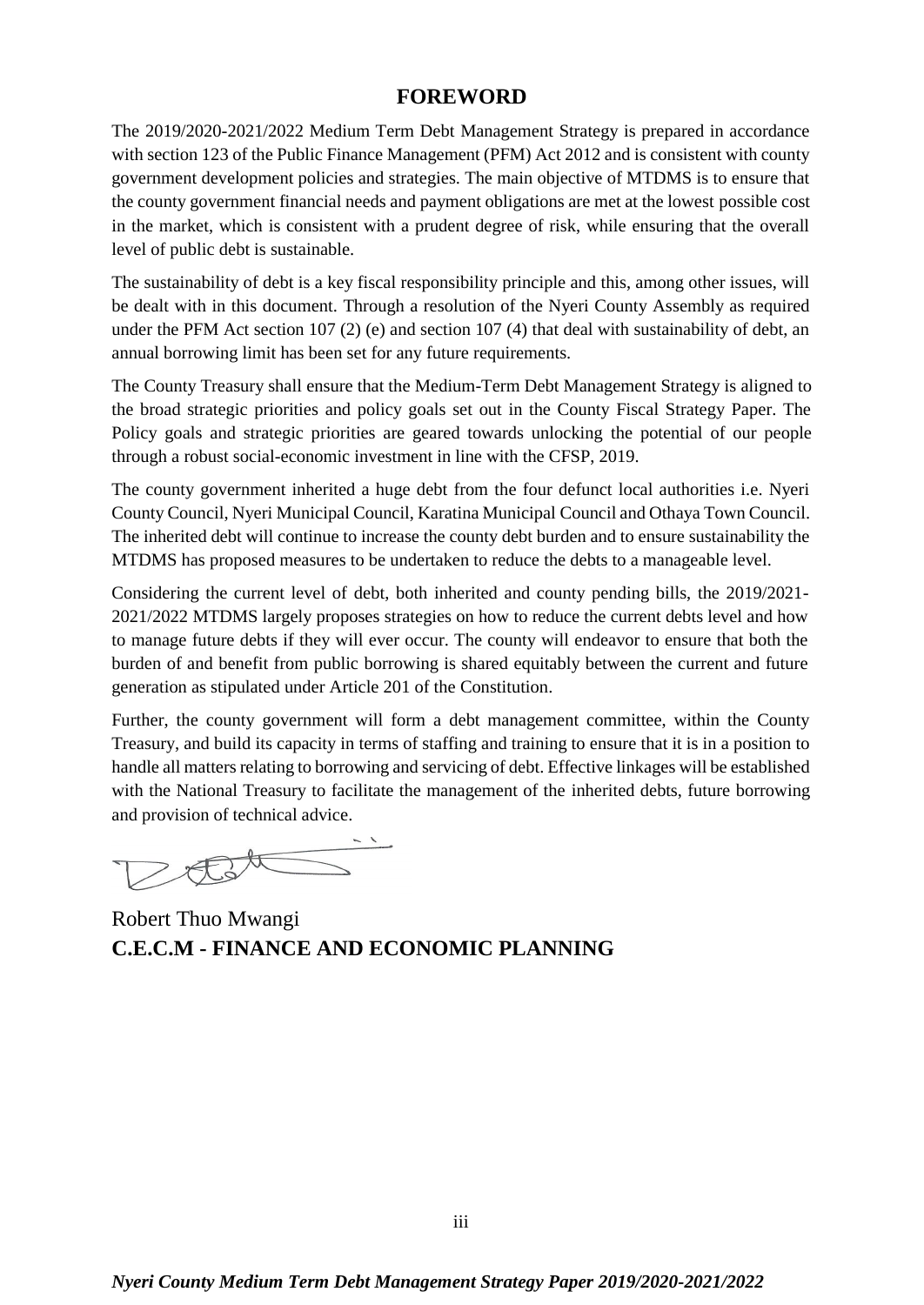# **FOREWORD**

<span id="page-2-0"></span>The 2019/2020-2021/2022 Medium Term Debt Management Strategy is prepared in accordance with section 123 of the Public Finance Management (PFM) Act 2012 and is consistent with county government development policies and strategies. The main objective of MTDMS is to ensure that the county government financial needs and payment obligations are met at the lowest possible cost in the market, which is consistent with a prudent degree of risk, while ensuring that the overall level of public debt is sustainable.

The sustainability of debt is a key fiscal responsibility principle and this, among other issues, will be dealt with in this document. Through a resolution of the Nyeri County Assembly as required under the PFM Act section 107 (2) (e) and section 107 (4) that deal with sustainability of debt, an annual borrowing limit has been set for any future requirements.

The County Treasury shall ensure that the Medium-Term Debt Management Strategy is aligned to the broad strategic priorities and policy goals set out in the County Fiscal Strategy Paper. The Policy goals and strategic priorities are geared towards unlocking the potential of our people through a robust social-economic investment in line with the CFSP, 2019.

The county government inherited a huge debt from the four defunct local authorities i.e. Nyeri County Council, Nyeri Municipal Council, Karatina Municipal Council and Othaya Town Council. The inherited debt will continue to increase the county debt burden and to ensure sustainability the MTDMS has proposed measures to be undertaken to reduce the debts to a manageable level.

Considering the current level of debt, both inherited and county pending bills, the 2019/2021- 2021/2022 MTDMS largely proposes strategies on how to reduce the current debts level and how to manage future debts if they will ever occur. The county will endeavor to ensure that both the burden of and benefit from public borrowing is shared equitably between the current and future generation as stipulated under Article 201 of the Constitution.

Further, the county government will form a debt management committee, within the County Treasury, and build its capacity in terms of staffing and training to ensure that it is in a position to handle all matters relating to borrowing and servicing of debt. Effective linkages will be established with the National Treasury to facilitate the management of the inherited debts, future borrowing and provision of technical advice.

Robert Thuo Mwangi **C.E.C.M - FINANCE AND ECONOMIC PLANNING**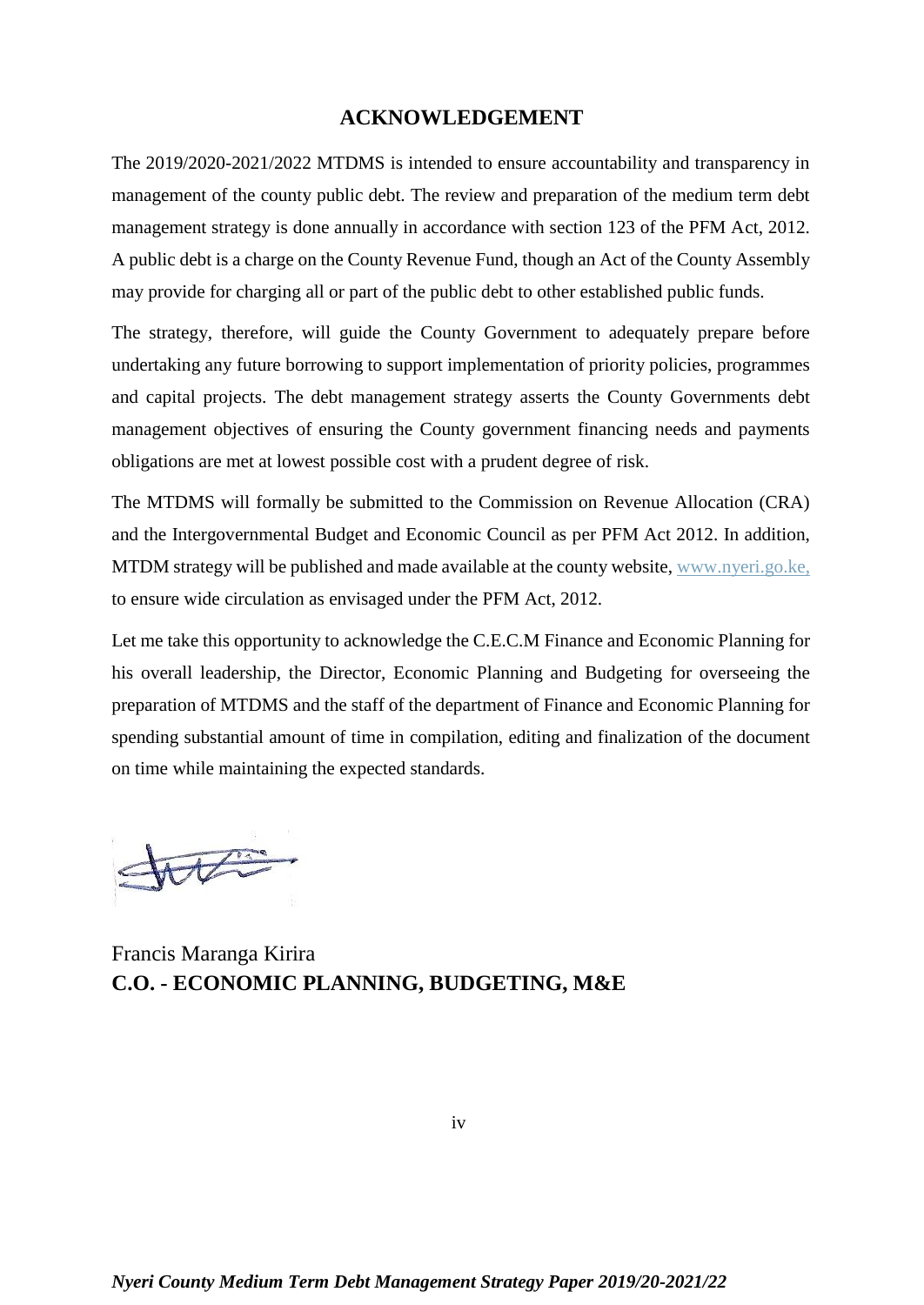#### **ACKNOWLEDGEMENT**

<span id="page-3-0"></span>The 2019/2020-2021/2022 MTDMS is intended to ensure accountability and transparency in management of the county public debt. The review and preparation of the medium term debt management strategy is done annually in accordance with section 123 of the PFM Act, 2012. A public debt is a charge on the County Revenue Fund, though an Act of the County Assembly may provide for charging all or part of the public debt to other established public funds.

The strategy, therefore, will guide the County Government to adequately prepare before undertaking any future borrowing to support implementation of priority policies, programmes and capital projects. The debt management strategy asserts the County Governments debt management objectives of ensuring the County government financing needs and payments obligations are met at lowest possible cost with a prudent degree of risk.

The MTDMS will formally be submitted to the Commission on Revenue Allocation (CRA) and the Intergovernmental Budget and Economic Council as per PFM Act 2012. In addition, MTDM strategy will be published and made available at the county website, [www.nyeri.go.ke,](http://www.nyeri.go.ke/) to ensure wide circulation as envisaged under the PFM Act, 2012.

Let me take this opportunity to acknowledge the C.E.C.M Finance and Economic Planning for his overall leadership, the Director, Economic Planning and Budgeting for overseeing the preparation of MTDMS and the staff of the department of Finance and Economic Planning for spending substantial amount of time in compilation, editing and finalization of the document on time while maintaining the expected standards.

HALL

Francis Maranga Kirira **C.O. - ECONOMIC PLANNING, BUDGETING, M&E**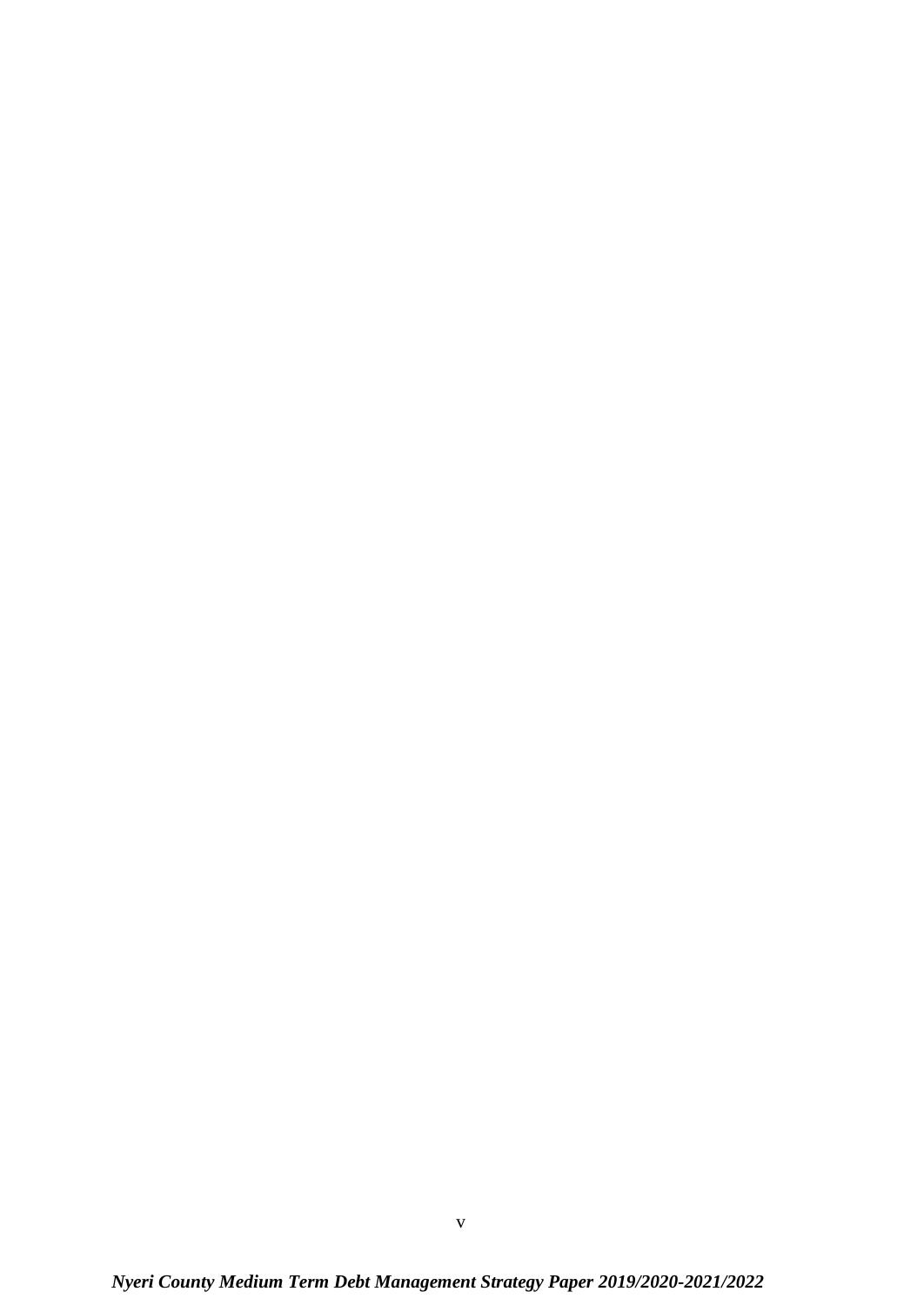*Nyeri County Medium Term Debt Management Strategy Paper 2019/2020-2021/2022*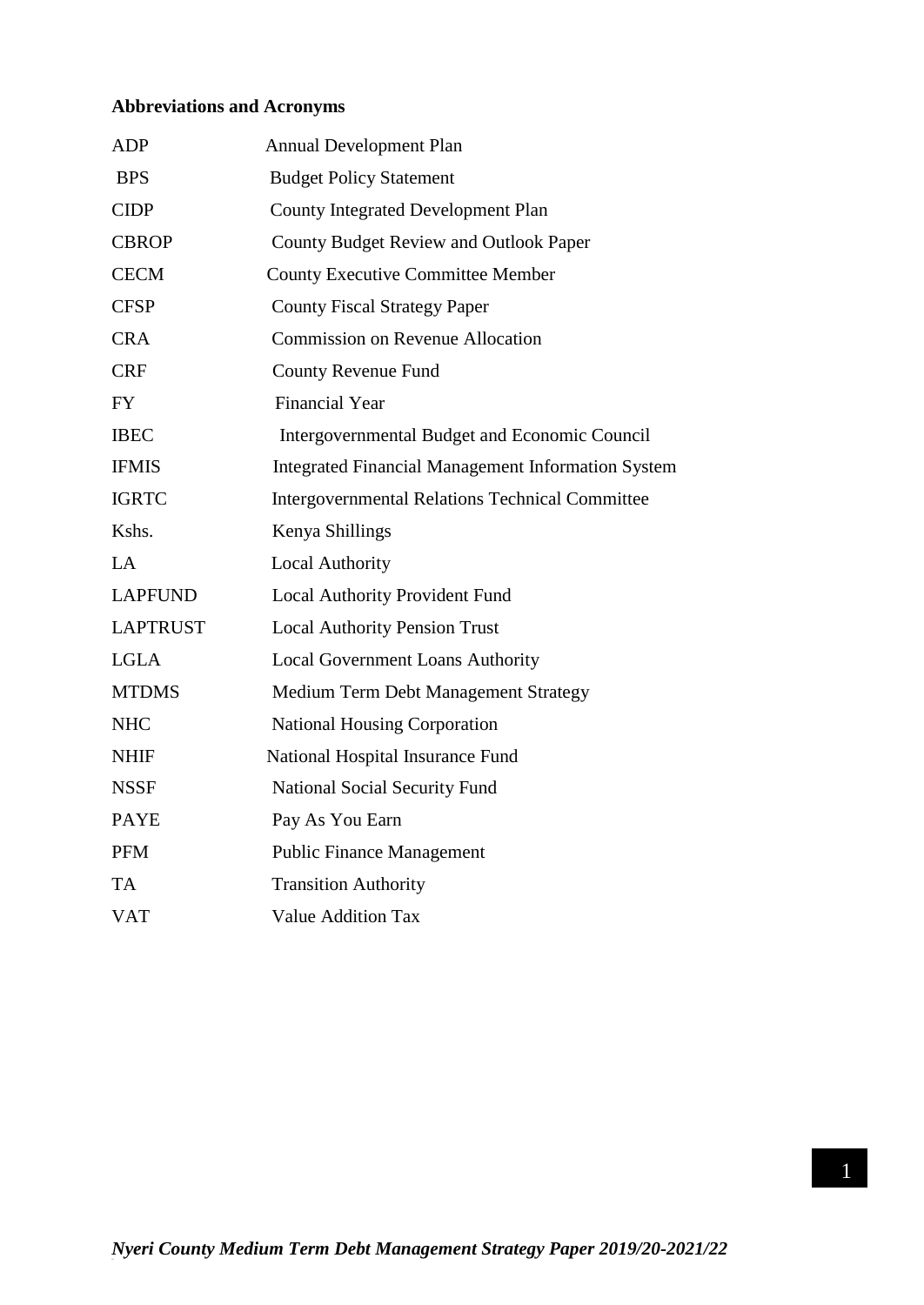# <span id="page-6-0"></span>**Abbreviations and Acronyms**

| <b>ADP</b>      | <b>Annual Development Plan</b>                            |
|-----------------|-----------------------------------------------------------|
| <b>BPS</b>      | <b>Budget Policy Statement</b>                            |
| <b>CIDP</b>     | <b>County Integrated Development Plan</b>                 |
| <b>CBROP</b>    | <b>County Budget Review and Outlook Paper</b>             |
| <b>CECM</b>     | <b>County Executive Committee Member</b>                  |
| <b>CFSP</b>     | <b>County Fiscal Strategy Paper</b>                       |
| <b>CRA</b>      | <b>Commission on Revenue Allocation</b>                   |
| <b>CRF</b>      | <b>County Revenue Fund</b>                                |
| <b>FY</b>       | <b>Financial Year</b>                                     |
| <b>IBEC</b>     | Intergovernmental Budget and Economic Council             |
| <b>IFMIS</b>    | <b>Integrated Financial Management Information System</b> |
| <b>IGRTC</b>    | <b>Intergovernmental Relations Technical Committee</b>    |
| Kshs.           | Kenya Shillings                                           |
| LA              | <b>Local Authority</b>                                    |
| <b>LAPFUND</b>  | Local Authority Provident Fund                            |
| <b>LAPTRUST</b> | <b>Local Authority Pension Trust</b>                      |
| <b>LGLA</b>     | Local Government Loans Authority                          |
| <b>MTDMS</b>    | Medium Term Debt Management Strategy                      |
| <b>NHC</b>      | <b>National Housing Corporation</b>                       |
| <b>NHIF</b>     | National Hospital Insurance Fund                          |
| <b>NSSF</b>     | <b>National Social Security Fund</b>                      |
| <b>PAYE</b>     | Pay As You Earn                                           |
| <b>PFM</b>      | <b>Public Finance Management</b>                          |
| <b>TA</b>       | <b>Transition Authority</b>                               |
| <b>VAT</b>      | <b>Value Addition Tax</b>                                 |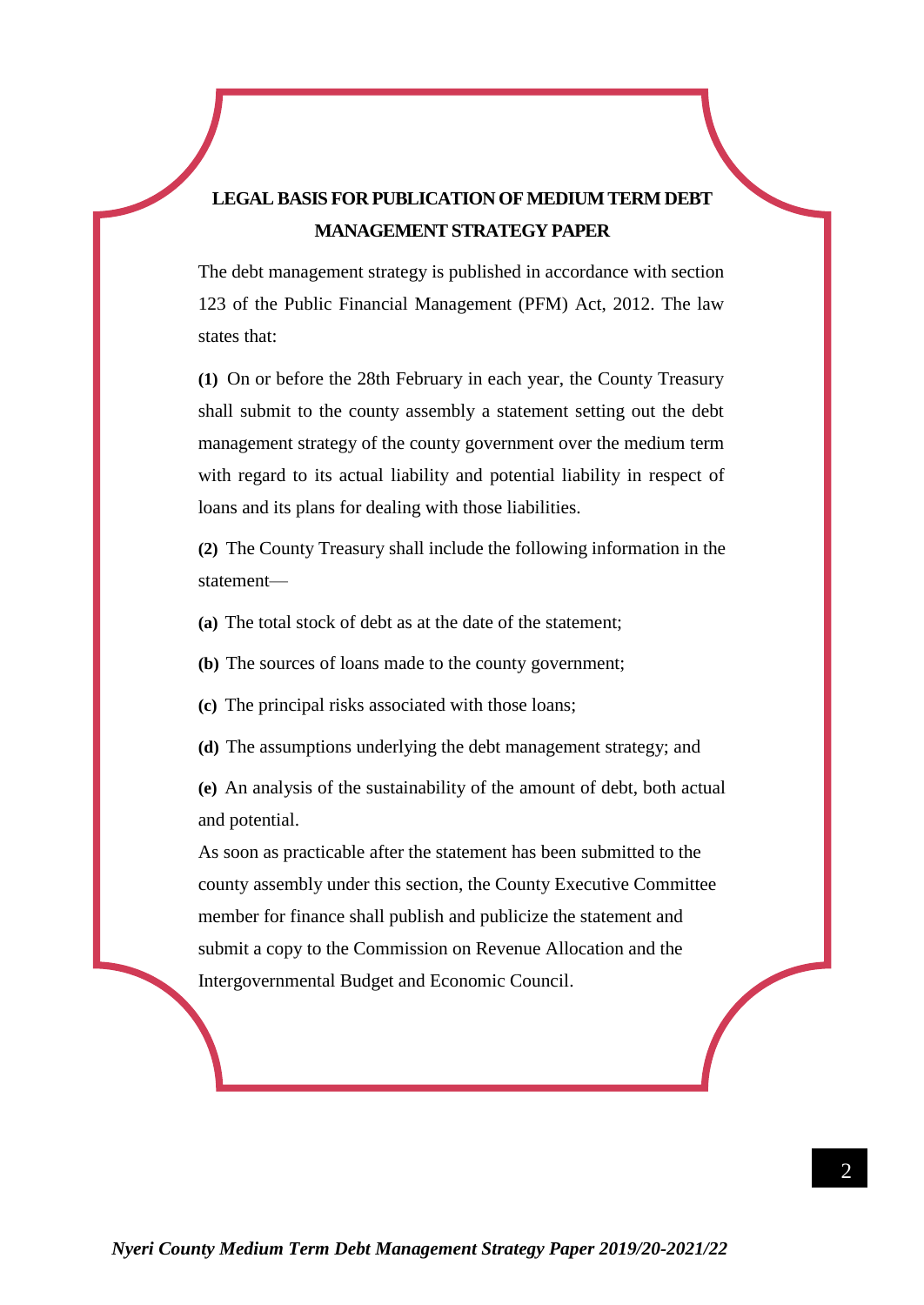# **LEGAL BASIS FOR PUBLICATION OF MEDIUM TERM DEBT MANAGEMENT STRATEGY PAPER**

The debt management strategy is published in accordance with section 123 of the Public Financial Management (PFM) Act, 2012. The law states that:

**(1)** On or before the 28th February in each year, the County Treasury shall submit to the county assembly a statement setting out the debt management strategy of the county government over the medium term with regard to its actual liability and potential liability in respect of loans and its plans for dealing with those liabilities.

**(2)** The County Treasury shall include the following information in the statement—

**(a)** The total stock of debt as at the date of the statement;

**(b)** The sources of loans made to the county government;

**(c)** The principal risks associated with those loans;

**(d)** The assumptions underlying the debt management strategy; and

**(e)** An analysis of the sustainability of the amount of debt, both actual and potential.

As soon as practicable after the statement has been submitted to the county assembly under this section, the County Executive Committee member for finance shall publish and publicize the statement and submit a copy to the Commission on Revenue Allocation and the Intergovernmental Budget and Economic Council.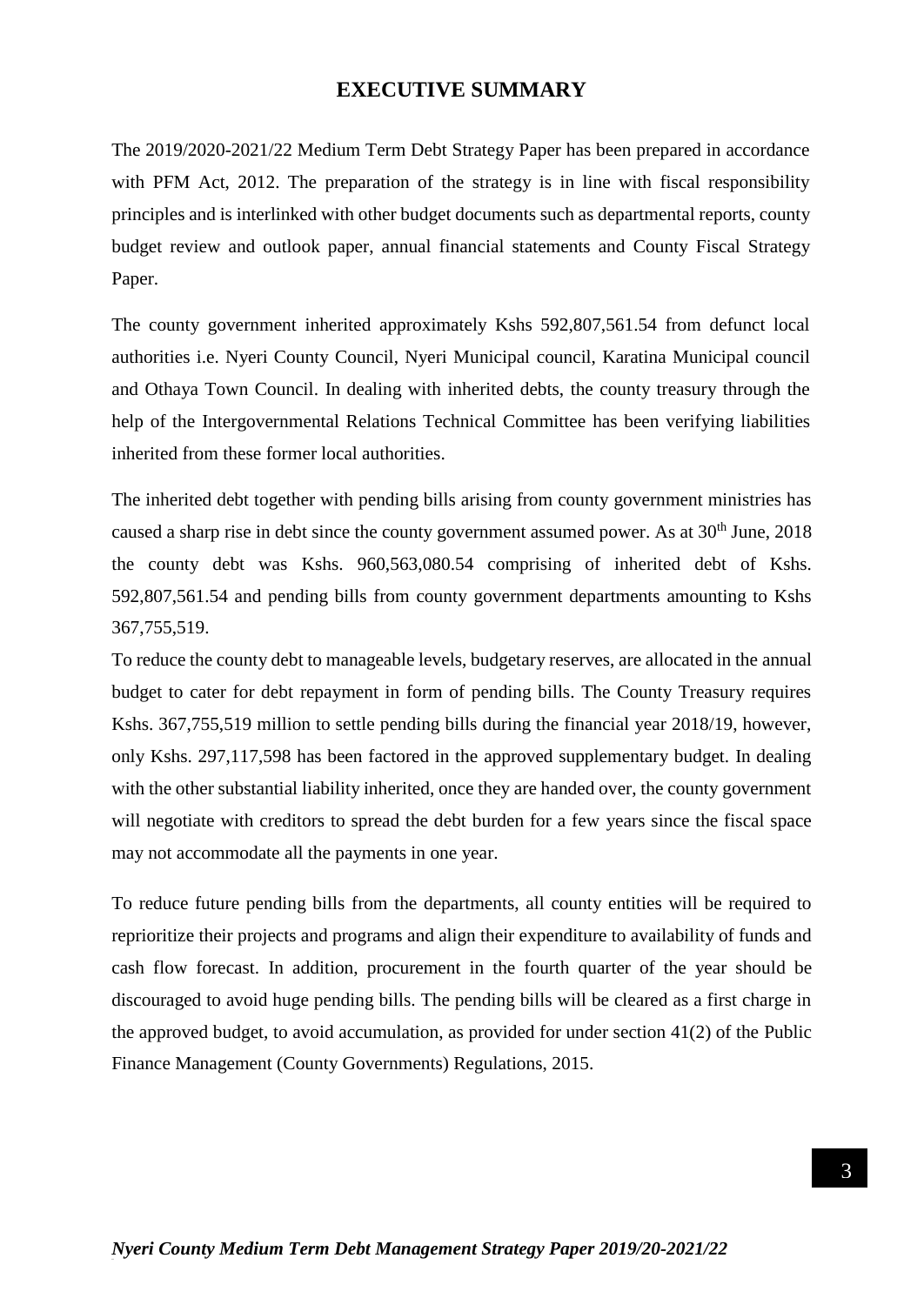# **EXECUTIVE SUMMARY**

<span id="page-8-0"></span>The 2019/2020-2021/22 Medium Term Debt Strategy Paper has been prepared in accordance with PFM Act, 2012. The preparation of the strategy is in line with fiscal responsibility principles and is interlinked with other budget documents such as departmental reports, county budget review and outlook paper, annual financial statements and County Fiscal Strategy Paper.

The county government inherited approximately Kshs 592,807,561.54 from defunct local authorities i.e. Nyeri County Council, Nyeri Municipal council, Karatina Municipal council and Othaya Town Council. In dealing with inherited debts, the county treasury through the help of the Intergovernmental Relations Technical Committee has been verifying liabilities inherited from these former local authorities.

The inherited debt together with pending bills arising from county government ministries has caused a sharp rise in debt since the county government assumed power. As at 30<sup>th</sup> June, 2018 the county debt was Kshs. 960,563,080.54 comprising of inherited debt of Kshs. 592,807,561.54 and pending bills from county government departments amounting to Kshs 367,755,519.

To reduce the county debt to manageable levels, budgetary reserves, are allocated in the annual budget to cater for debt repayment in form of pending bills. The County Treasury requires Kshs. 367,755,519 million to settle pending bills during the financial year 2018/19, however, only Kshs. 297,117,598 has been factored in the approved supplementary budget. In dealing with the other substantial liability inherited, once they are handed over, the county government will negotiate with creditors to spread the debt burden for a few years since the fiscal space may not accommodate all the payments in one year.

To reduce future pending bills from the departments, all county entities will be required to reprioritize their projects and programs and align their expenditure to availability of funds and cash flow forecast. In addition, procurement in the fourth quarter of the year should be discouraged to avoid huge pending bills. The pending bills will be cleared as a first charge in the approved budget, to avoid accumulation, as provided for under section 41(2) of the Public Finance Management (County Governments) Regulations, 2015.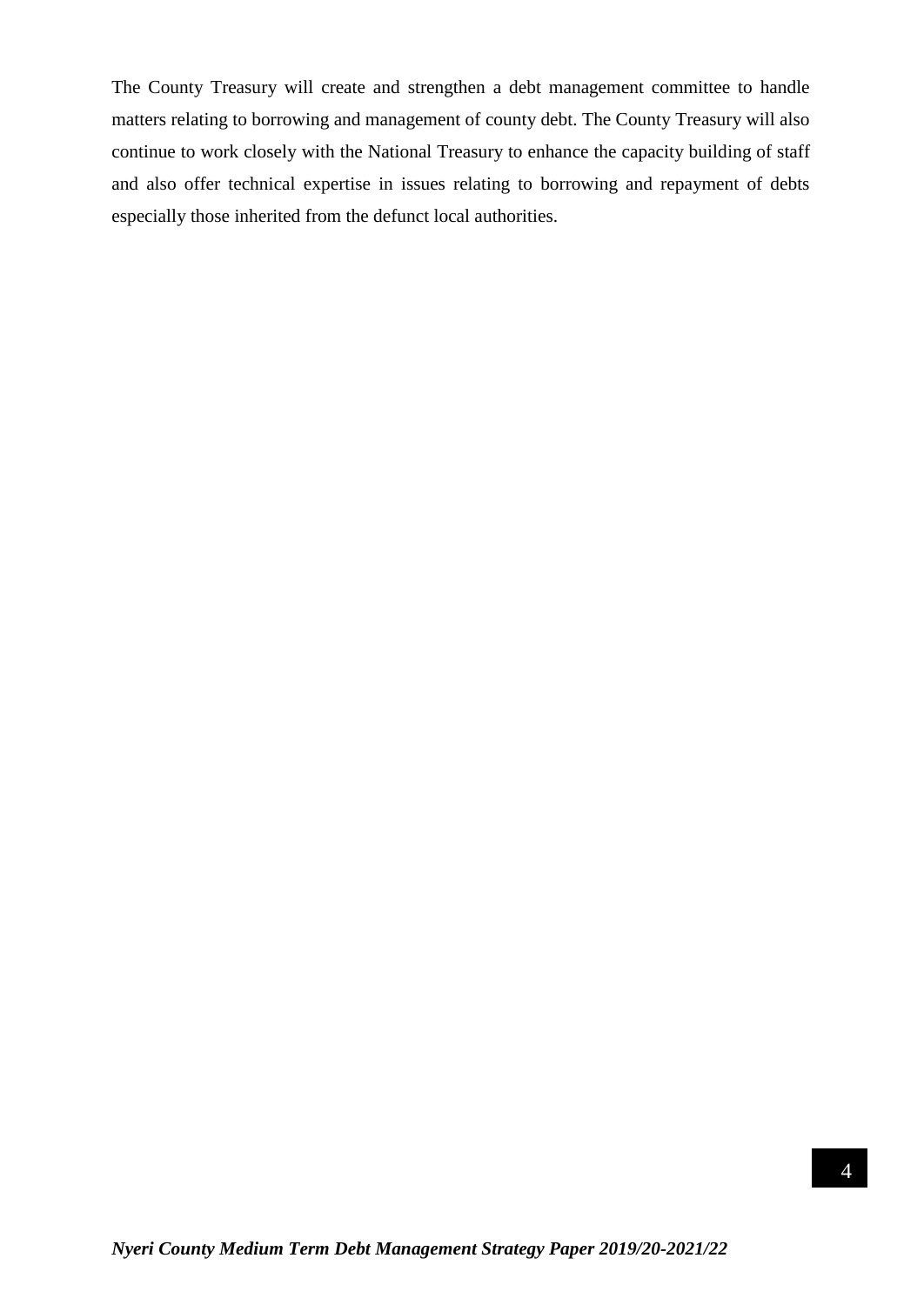The County Treasury will create and strengthen a debt management committee to handle matters relating to borrowing and management of county debt. The County Treasury will also continue to work closely with the National Treasury to enhance the capacity building of staff and also offer technical expertise in issues relating to borrowing and repayment of debts especially those inherited from the defunct local authorities.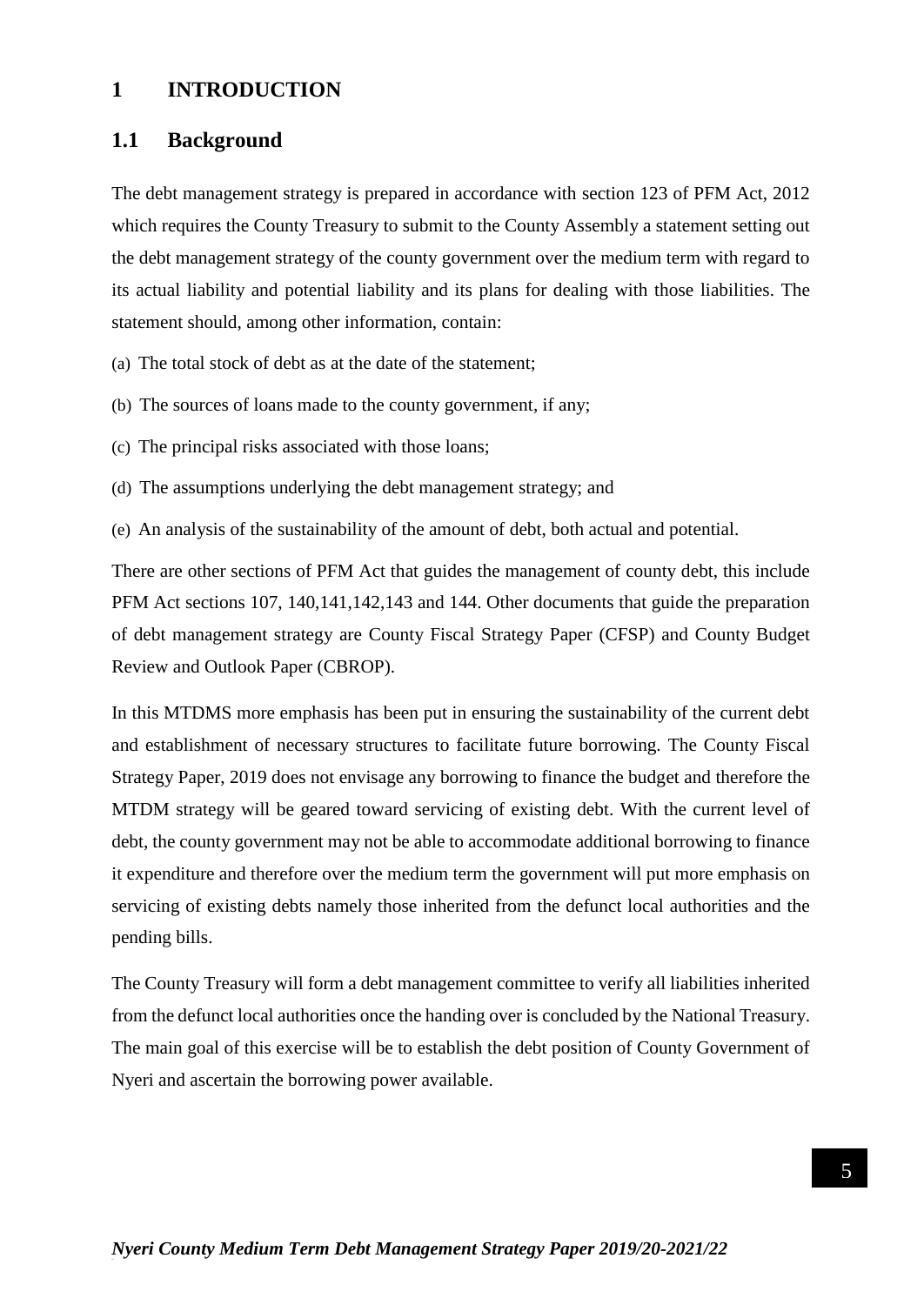# <span id="page-10-0"></span>**1 INTRODUCTION**

#### <span id="page-10-1"></span>**1.1 Background**

The debt management strategy is prepared in accordance with section 123 of PFM Act, 2012 which requires the County Treasury to submit to the County Assembly a statement setting out the debt management strategy of the county government over the medium term with regard to its actual liability and potential liability and its plans for dealing with those liabilities. The statement should, among other information, contain:

(a) The total stock of debt as at the date of the statement;

- (b) The sources of loans made to the county government, if any;
- (c) The principal risks associated with those loans;
- (d) The assumptions underlying the debt management strategy; and
- (e) An analysis of the sustainability of the amount of debt, both actual and potential.

There are other sections of PFM Act that guides the management of county debt, this include PFM Act sections 107, 140,141,142,143 and 144. Other documents that guide the preparation of debt management strategy are County Fiscal Strategy Paper (CFSP) and County Budget Review and Outlook Paper (CBROP).

In this MTDMS more emphasis has been put in ensuring the sustainability of the current debt and establishment of necessary structures to facilitate future borrowing. The County Fiscal Strategy Paper, 2019 does not envisage any borrowing to finance the budget and therefore the MTDM strategy will be geared toward servicing of existing debt. With the current level of debt, the county government may not be able to accommodate additional borrowing to finance it expenditure and therefore over the medium term the government will put more emphasis on servicing of existing debts namely those inherited from the defunct local authorities and the pending bills.

The County Treasury will form a debt management committee to verify all liabilities inherited from the defunct local authorities once the handing over is concluded by the National Treasury. The main goal of this exercise will be to establish the debt position of County Government of Nyeri and ascertain the borrowing power available.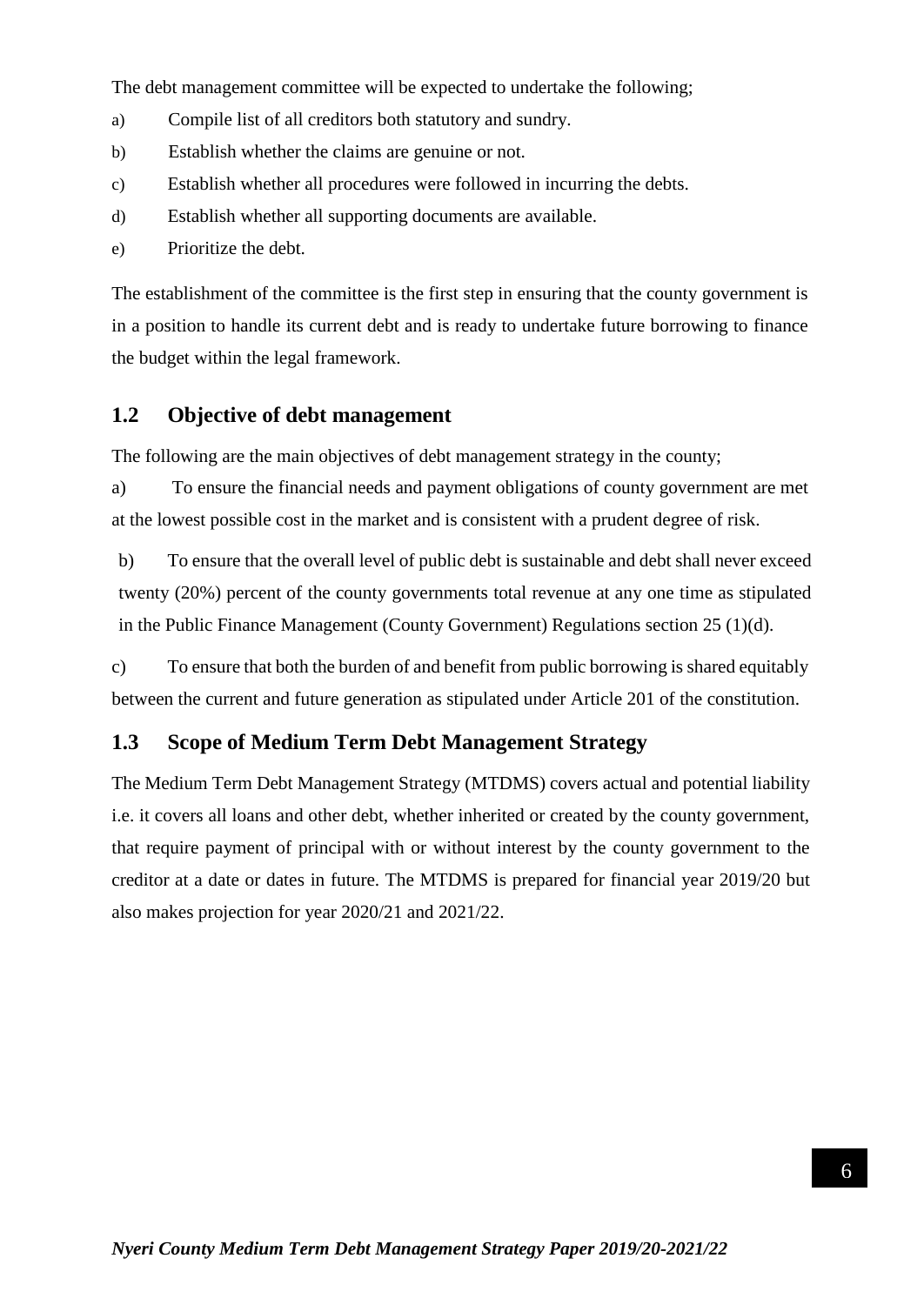The debt management committee will be expected to undertake the following;

- a) Compile list of all creditors both statutory and sundry.
- b) Establish whether the claims are genuine or not.
- c) Establish whether all procedures were followed in incurring the debts.
- d) Establish whether all supporting documents are available.
- e) Prioritize the debt.

The establishment of the committee is the first step in ensuring that the county government is in a position to handle its current debt and is ready to undertake future borrowing to finance the budget within the legal framework.

# <span id="page-11-0"></span>**1.2 Objective of debt management**

The following are the main objectives of debt management strategy in the county;

a) To ensure the financial needs and payment obligations of county government are met at the lowest possible cost in the market and is consistent with a prudent degree of risk.

b) To ensure that the overall level of public debt is sustainable and debt shall never exceed twenty (20%) percent of the county governments total revenue at any one time as stipulated in the Public Finance Management (County Government) Regulations section 25 (1)(d).

c) To ensure that both the burden of and benefit from public borrowing is shared equitably between the current and future generation as stipulated under Article 201 of the constitution.

# <span id="page-11-1"></span>**1.3 Scope of Medium Term Debt Management Strategy**

The Medium Term Debt Management Strategy (MTDMS) covers actual and potential liability i.e. it covers all loans and other debt, whether inherited or created by the county government, that require payment of principal with or without interest by the county government to the creditor at a date or dates in future. The MTDMS is prepared for financial year 2019/20 but also makes projection for year 2020/21 and 2021/22.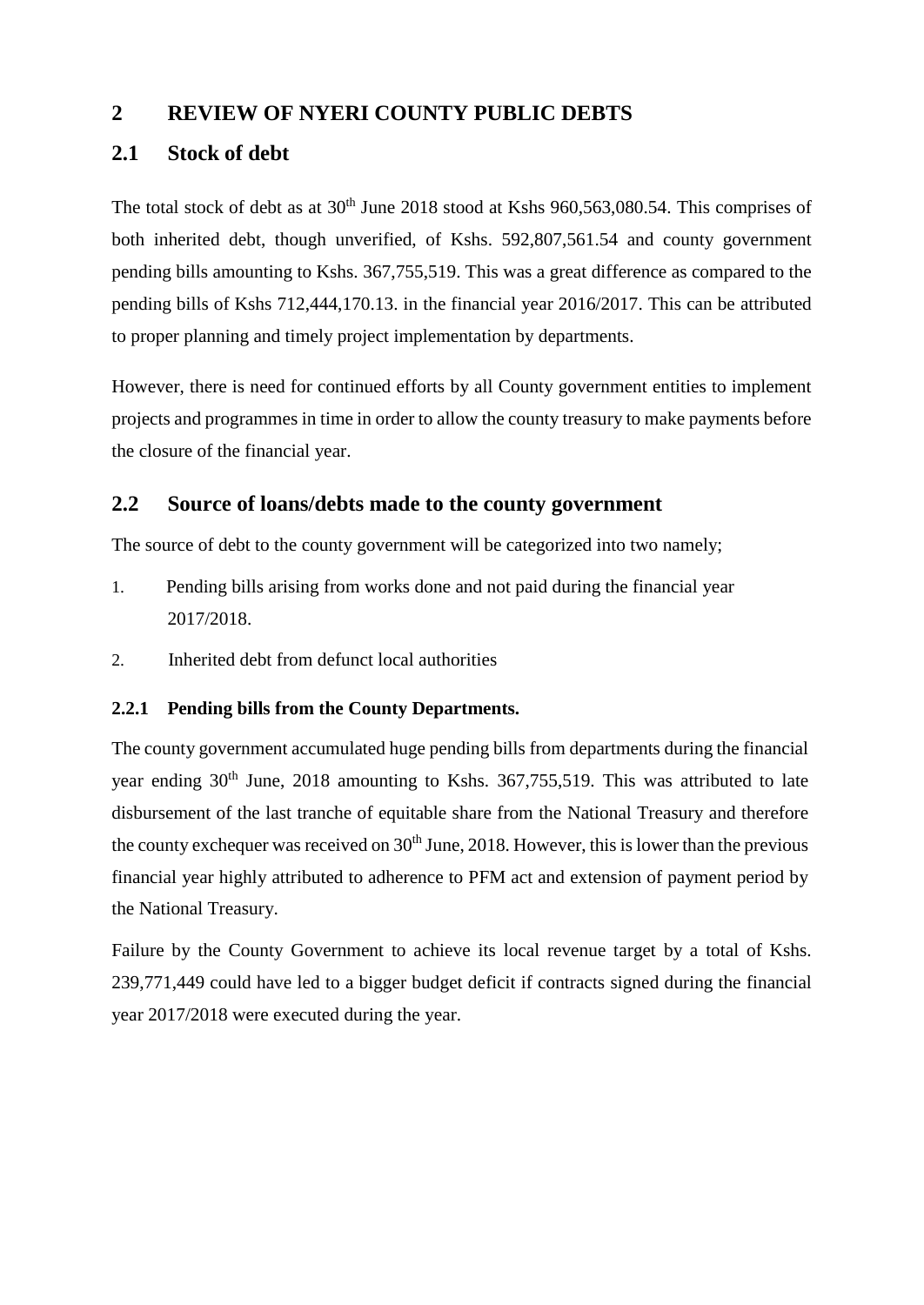# <span id="page-12-0"></span>**2 REVIEW OF NYERI COUNTY PUBLIC DEBTS**

# <span id="page-12-1"></span>**2.1 Stock of debt**

The total stock of debt as at 30<sup>th</sup> June 2018 stood at Kshs 960,563,080.54. This comprises of both inherited debt, though unverified, of Kshs. 592,807,561.54 and county government pending bills amounting to Kshs. 367,755,519. This was a great difference as compared to the pending bills of Kshs 712,444,170.13. in the financial year 2016/2017. This can be attributed to proper planning and timely project implementation by departments.

However, there is need for continued efforts by all County government entities to implement projects and programmes in time in order to allow the county treasury to make payments before the closure of the financial year.

# <span id="page-12-2"></span>**2.2 Source of loans/debts made to the county government**

The source of debt to the county government will be categorized into two namely;

- 1. Pending bills arising from works done and not paid during the financial year 2017/2018.
- 2. Inherited debt from defunct local authorities

# <span id="page-12-3"></span>**2.2.1 Pending bills from the County Departments.**

The county government accumulated huge pending bills from departments during the financial year ending 30<sup>th</sup> June, 2018 amounting to Kshs. 367,755,519. This was attributed to late disbursement of the last tranche of equitable share from the National Treasury and therefore the county exchequer was received on  $30<sup>th</sup>$  June, 2018. However, this is lower than the previous financial year highly attributed to adherence to PFM act and extension of payment period by the National Treasury.

Failure by the County Government to achieve its local revenue target by a total of Kshs. 239,771,449 could have led to a bigger budget deficit if contracts signed during the financial year 2017/2018 were executed during the year.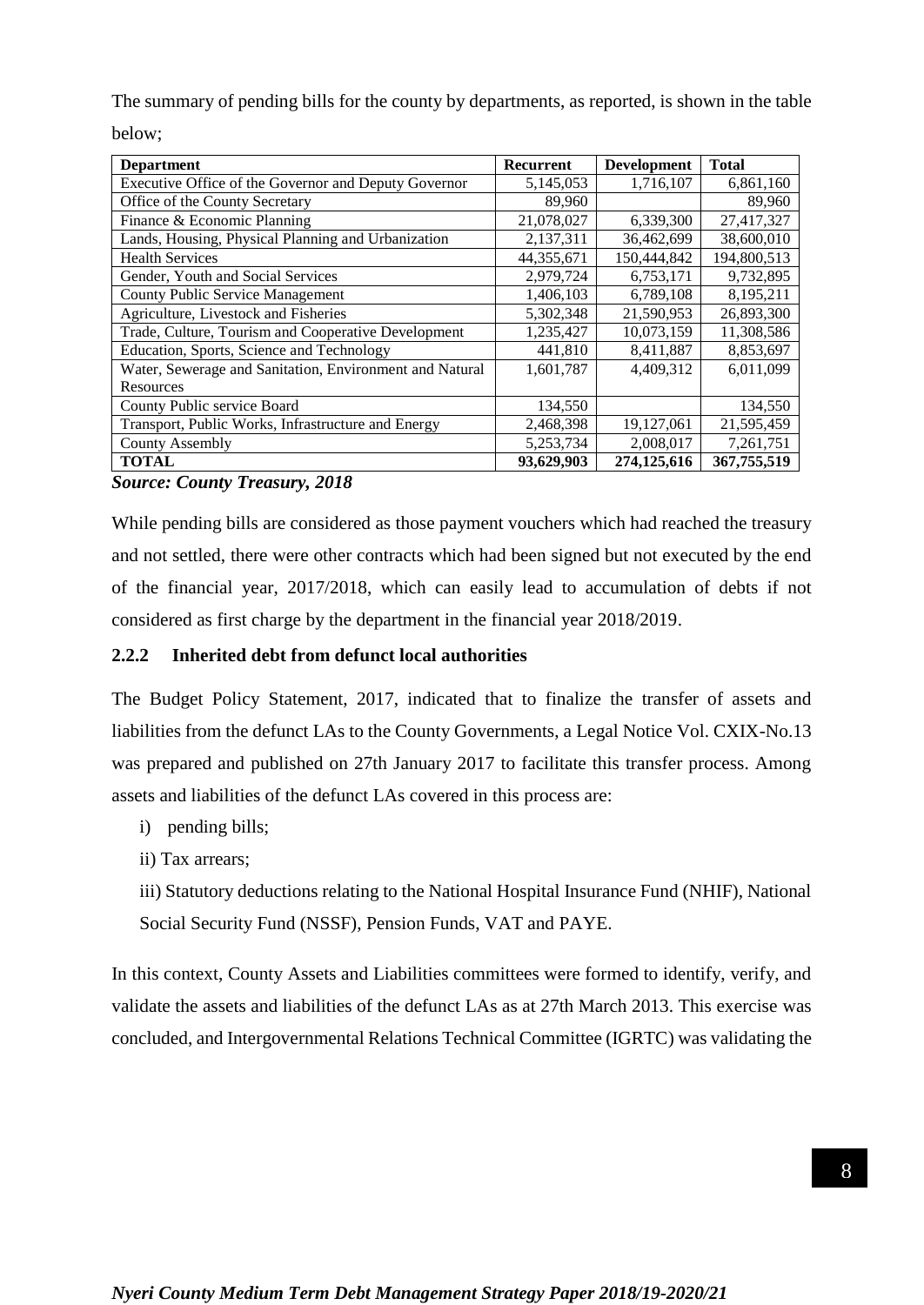The summary of pending bills for the county by departments, as reported, is shown in the table below;

| <b>Department</b>                                       | Recurrent    | <b>Development</b> | <b>Total</b> |
|---------------------------------------------------------|--------------|--------------------|--------------|
| Executive Office of the Governor and Deputy Governor    | 5,145,053    | 1,716,107          | 6,861,160    |
| Office of the County Secretary                          | 89,960       |                    | 89,960       |
| Finance & Economic Planning                             | 21,078,027   | 6,339,300          | 27,417,327   |
| Lands, Housing, Physical Planning and Urbanization      | 2,137,311    | 36,462,699         | 38,600,010   |
| <b>Health Services</b>                                  | 44, 355, 671 | 150,444,842        | 194,800,513  |
| Gender, Youth and Social Services                       | 2,979,724    | 6,753,171          | 9,732,895    |
| <b>County Public Service Management</b>                 | 1,406,103    | 6,789,108          | 8,195,211    |
| Agriculture, Livestock and Fisheries                    | 5,302,348    | 21,590,953         | 26,893,300   |
| Trade, Culture, Tourism and Cooperative Development     | 1,235,427    | 10,073,159         | 11,308,586   |
| Education, Sports, Science and Technology               | 441,810      | 8,411,887          | 8,853,697    |
| Water, Sewerage and Sanitation, Environment and Natural | 1,601,787    | 4,409,312          | 6,011,099    |
| Resources                                               |              |                    |              |
| County Public service Board                             | 134,550      |                    | 134,550      |
| Transport, Public Works, Infrastructure and Energy      | 2,468,398    | 19,127,061         | 21,595,459   |
| <b>County Assembly</b>                                  | 5,253,734    | 2,008,017          | 7,261,751    |
| <b>TOTAL</b>                                            | 93,629,903   | 274,125,616        | 367,755,519  |

*Source: County Treasury, 2018*

While pending bills are considered as those payment vouchers which had reached the treasury and not settled, there were other contracts which had been signed but not executed by the end of the financial year, 2017/2018, which can easily lead to accumulation of debts if not considered as first charge by the department in the financial year 2018/2019.

#### <span id="page-13-0"></span>**2.2.2 Inherited debt from defunct local authorities**

The Budget Policy Statement, 2017, indicated that to finalize the transfer of assets and liabilities from the defunct LAs to the County Governments, a Legal Notice Vol. CXIX-No.13 was prepared and published on 27th January 2017 to facilitate this transfer process. Among assets and liabilities of the defunct LAs covered in this process are:

- i) pending bills;
- ii) Tax arrears;
- iii) Statutory deductions relating to the National Hospital Insurance Fund (NHIF), National Social Security Fund (NSSF), Pension Funds, VAT and PAYE.

In this context, County Assets and Liabilities committees were formed to identify, verify, and validate the assets and liabilities of the defunct LAs as at 27th March 2013. This exercise was concluded, and Intergovernmental Relations Technical Committee (IGRTC) was validating the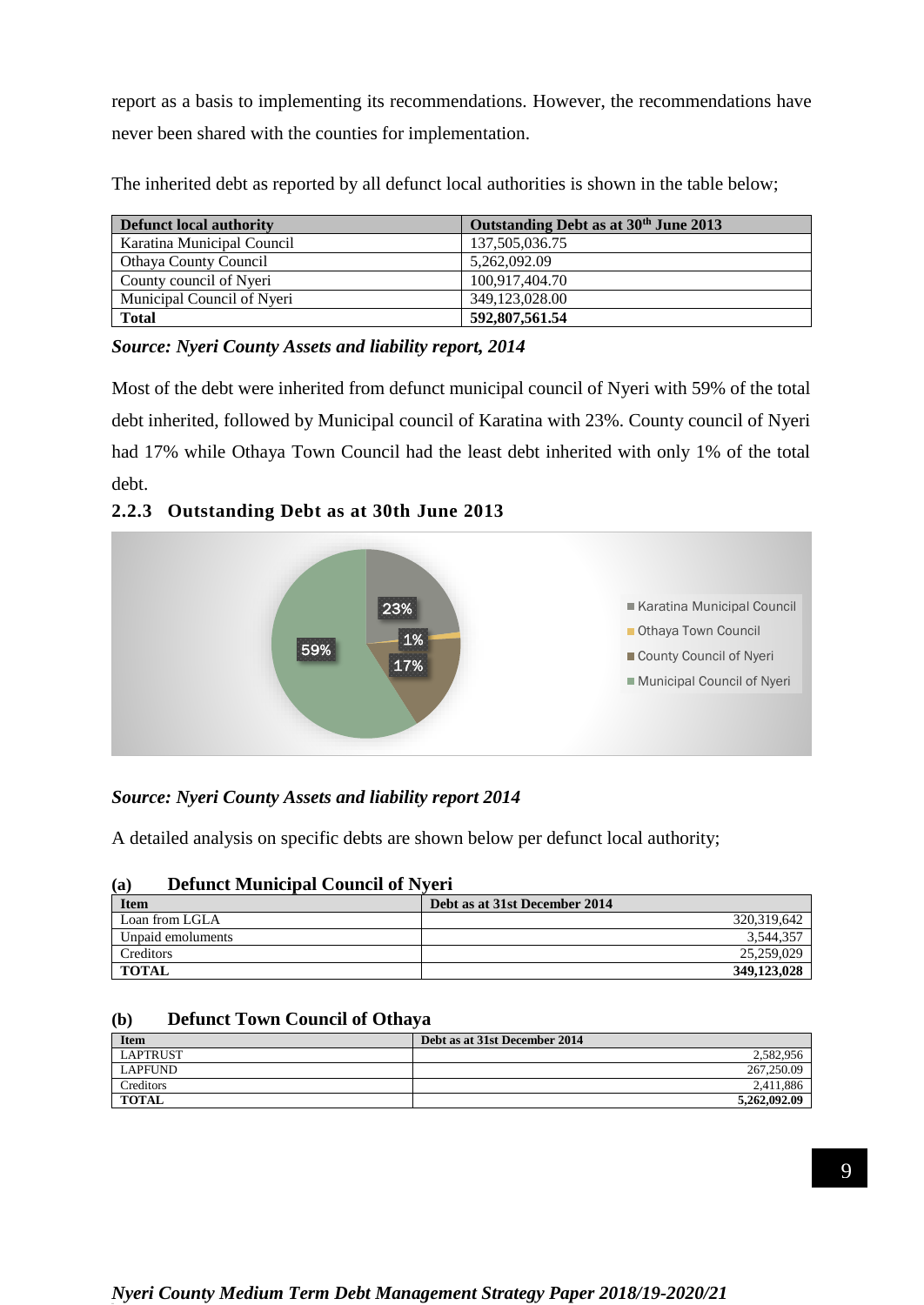<span id="page-14-0"></span>report as a basis to implementing its recommendations. However, the recommendations have never been shared with the counties for implementation.

| Defunct local authority      | Outstanding Debt as at 30 <sup>th</sup> June 2013 |
|------------------------------|---------------------------------------------------|
| Karatina Municipal Council   | 137,505,036.75                                    |
| <b>Othaya County Council</b> | 5,262,092.09                                      |
| County council of Nyeri      | 100.917.404.70                                    |
| Municipal Council of Nyeri   | 349.123,028.00                                    |
| <b>Total</b>                 | 592,807,561,54                                    |

The inherited debt as reported by all defunct local authorities is shown in the table below;

*Source: Nyeri County Assets and liability report, 2014*

Most of the debt were inherited from defunct municipal council of Nyeri with 59% of the total debt inherited, followed by Municipal council of Karatina with 23%. County council of Nyeri had 17% while Othaya Town Council had the least debt inherited with only 1% of the total debt.



#### **2.2.3 Outstanding Debt as at 30th June 2013**

#### *Source: Nyeri County Assets and liability report 2014*

A detailed analysis on specific debts are shown below per defunct local authority;

| (a)<br>Defunct Municipal Council of Invert |                               |
|--------------------------------------------|-------------------------------|
| <b>Item</b>                                | Debt as at 31st December 2014 |
| Loan from LGLA                             | 320.319.642                   |
| Unpaid emoluments                          | 3,544,357                     |
| <b>Creditors</b>                           | 25.259.029                    |
| <b>TOTAL</b>                               | 349,123,028                   |

#### **(a) Defunct Municipal Council of Nyeri**

#### **(b) Defunct Town Council of Othaya**

| <b>Item</b>     | Debt as at 31st December 2014 |
|-----------------|-------------------------------|
| <b>LAPTRUST</b> | 2,582,956                     |
| <b>LAPFUND</b>  | 267,250.09                    |
| Creditors       | 2.411.886                     |
| <b>TOTAL</b>    | 5.262.092.09                  |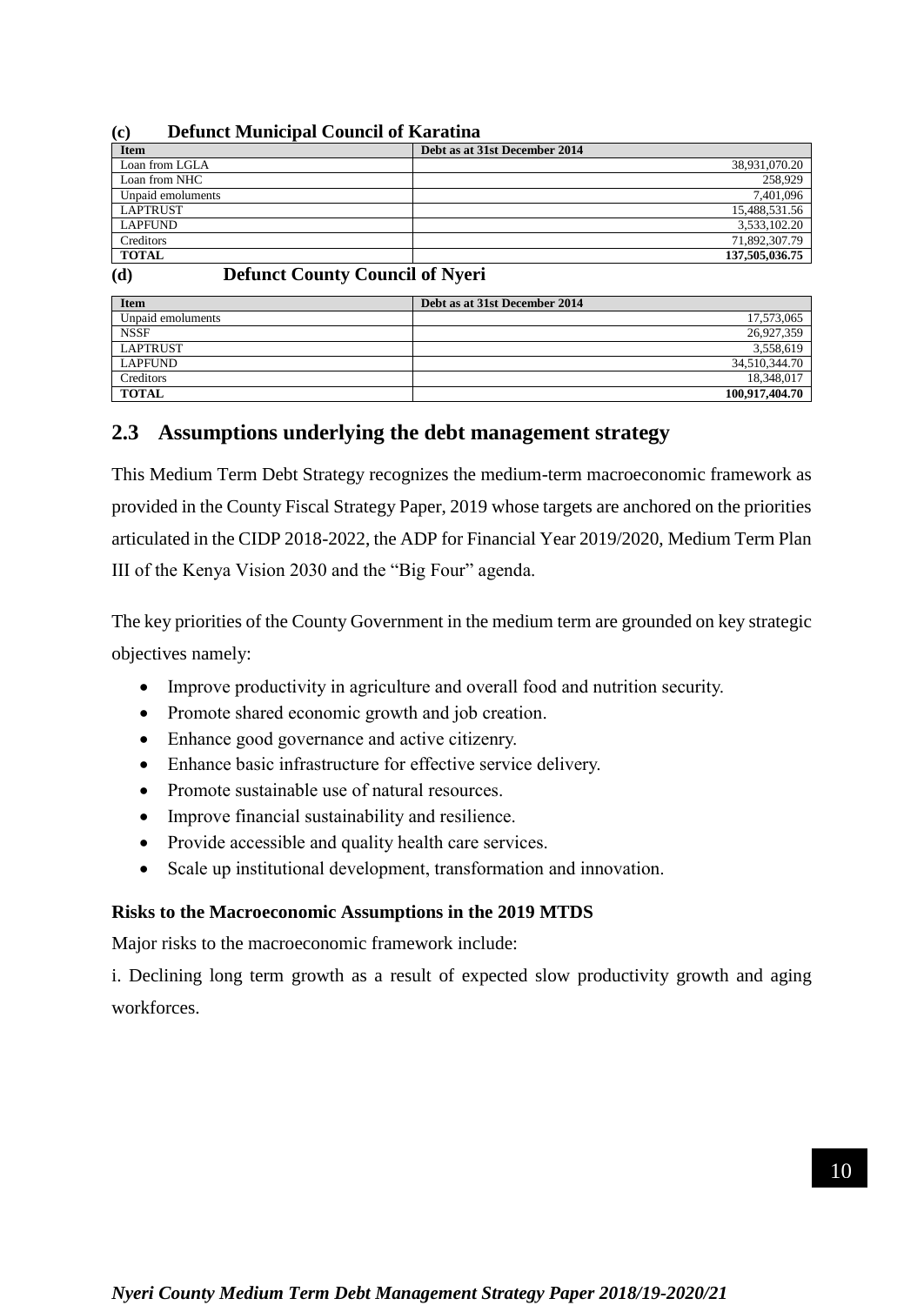| いり<br>Defunct Municipal Council of Isal atina               |                               |
|-------------------------------------------------------------|-------------------------------|
| <b>Item</b>                                                 | Debt as at 31st December 2014 |
| Loan from LGLA                                              | 38,931,070.20                 |
| Loan from NHC                                               | 258,929                       |
| Unpaid emoluments                                           | 7.401.096                     |
| LAPTRUST                                                    | 15.488.531.56                 |
| <b>LAPFUND</b>                                              | 3.533.102.20                  |
| Creditors                                                   | 71,892,307.79                 |
| <b>TOTAL</b>                                                | 137.505.036.75                |
| $\sim$ $\sim$ $\sim$ $\sim$<br>$\sim$ $\sim$<br>$\sim$ $ -$ | $\mathbf{a}$                  |

#### **(c) Defunct Municipal Council of Karatina**

**(d) Defunct County Council of Nyeri**

| <b>Item</b>       | Debt as at 31st December 2014 |
|-------------------|-------------------------------|
| Unpaid emoluments | 17,573,065                    |
| <b>NSSF</b>       | 26,927,359                    |
| <b>LAPTRUST</b>   | 3,558,619                     |
| <b>LAPFUND</b>    | 34,510,344.70                 |
| Creditors         | 18,348,017                    |
| <b>TOTAL</b>      | 100.917.404.70                |

# <span id="page-15-0"></span>**2.3 Assumptions underlying the debt management strategy**

This Medium Term Debt Strategy recognizes the medium-term macroeconomic framework as provided in the County Fiscal Strategy Paper, 2019 whose targets are anchored on the priorities articulated in the CIDP 2018-2022, the ADP for Financial Year 2019/2020, Medium Term Plan III of the Kenya Vision 2030 and the "Big Four" agenda.

The key priorities of the County Government in the medium term are grounded on key strategic objectives namely:

- Improve productivity in agriculture and overall food and nutrition security.
- Promote shared economic growth and job creation.
- Enhance good governance and active citizenry.
- Enhance basic infrastructure for effective service delivery.
- Promote sustainable use of natural resources.
- Improve financial sustainability and resilience.
- Provide accessible and quality health care services.
- Scale up institutional development, transformation and innovation.

#### **Risks to the Macroeconomic Assumptions in the 2019 MTDS**

Major risks to the macroeconomic framework include:

i. Declining long term growth as a result of expected slow productivity growth and aging workforces.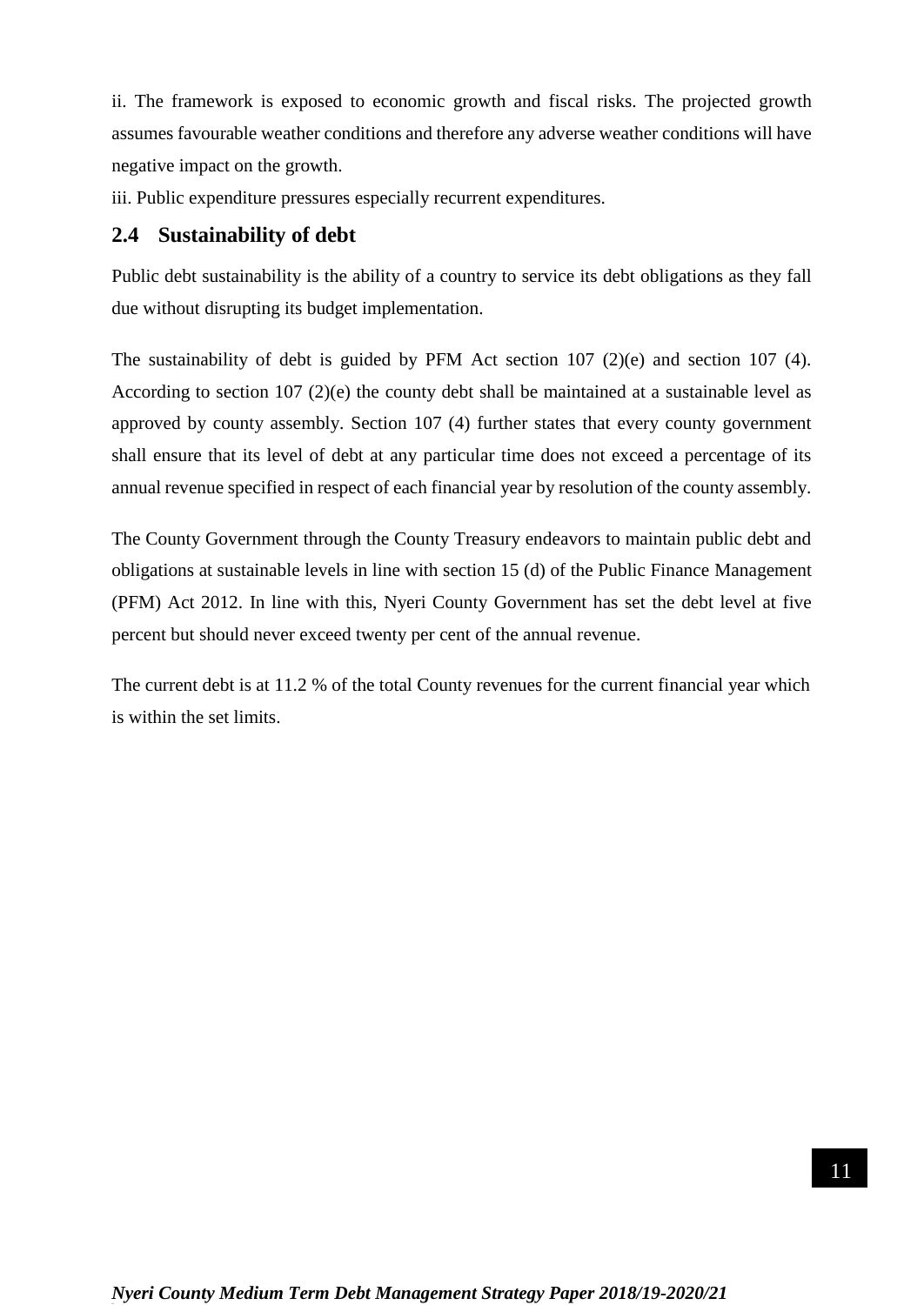ii. The framework is exposed to economic growth and fiscal risks. The projected growth assumes favourable weather conditions and therefore any adverse weather conditions will have negative impact on the growth.

iii. Public expenditure pressures especially recurrent expenditures.

# <span id="page-16-0"></span>**2.4 Sustainability of debt**

Public debt sustainability is the ability of a country to service its debt obligations as they fall due without disrupting its budget implementation.

The sustainability of debt is guided by PFM Act section 107 (2)(e) and section 107 (4). According to section 107 (2)(e) the county debt shall be maintained at a sustainable level as approved by county assembly. Section 107 (4) further states that every county government shall ensure that its level of debt at any particular time does not exceed a percentage of its annual revenue specified in respect of each financial year by resolution of the county assembly.

The County Government through the County Treasury endeavors to maintain public debt and obligations at sustainable levels in line with section 15 (d) of the Public Finance Management (PFM) Act 2012. In line with this, Nyeri County Government has set the debt level at five percent but should never exceed twenty per cent of the annual revenue.

The current debt is at 11.2 % of the total County revenues for the current financial year which is within the set limits.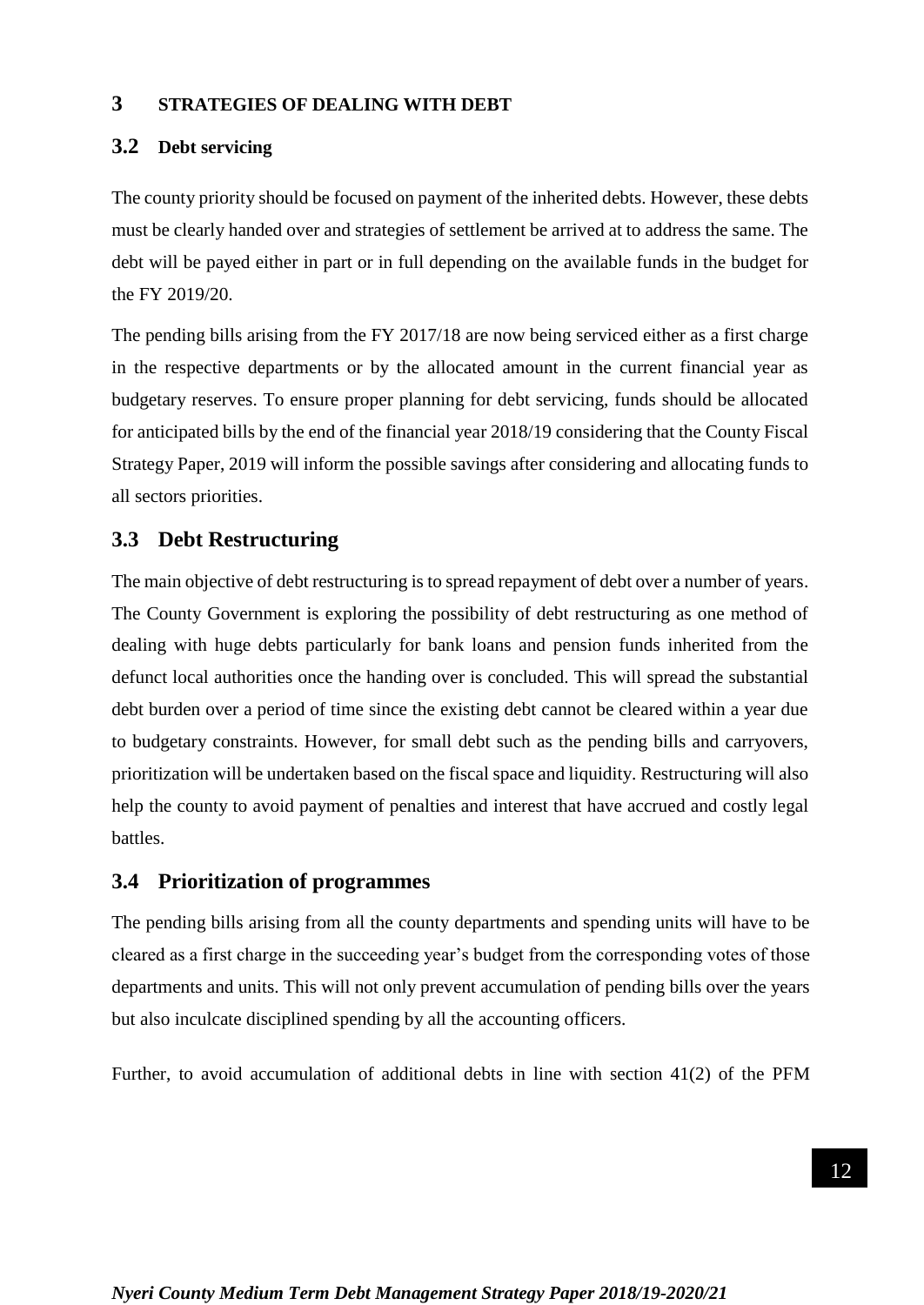#### <span id="page-17-0"></span>**3 STRATEGIES OF DEALING WITH DEBT**

#### <span id="page-17-1"></span>**3.2 Debt servicing**

The county priority should be focused on payment of the inherited debts. However, these debts must be clearly handed over and strategies of settlement be arrived at to address the same. The debt will be payed either in part or in full depending on the available funds in the budget for the FY 2019/20.

The pending bills arising from the FY 2017/18 are now being serviced either as a first charge in the respective departments or by the allocated amount in the current financial year as budgetary reserves. To ensure proper planning for debt servicing, funds should be allocated for anticipated bills by the end of the financial year 2018/19 considering that the County Fiscal Strategy Paper, 2019 will inform the possible savings after considering and allocating funds to all sectors priorities.

#### <span id="page-17-2"></span>**3.3 Debt Restructuring**

The main objective of debt restructuring is to spread repayment of debt over a number of years. The County Government is exploring the possibility of debt restructuring as one method of dealing with huge debts particularly for bank loans and pension funds inherited from the defunct local authorities once the handing over is concluded. This will spread the substantial debt burden over a period of time since the existing debt cannot be cleared within a year due to budgetary constraints. However, for small debt such as the pending bills and carryovers, prioritization will be undertaken based on the fiscal space and liquidity. Restructuring will also help the county to avoid payment of penalties and interest that have accrued and costly legal battles.

### <span id="page-17-3"></span>**3.4 Prioritization of programmes**

The pending bills arising from all the county departments and spending units will have to be cleared as a first charge in the succeeding year's budget from the corresponding votes of those departments and units. This will not only prevent accumulation of pending bills over the years but also inculcate disciplined spending by all the accounting officers.

Further, to avoid accumulation of additional debts in line with section 41(2) of the PFM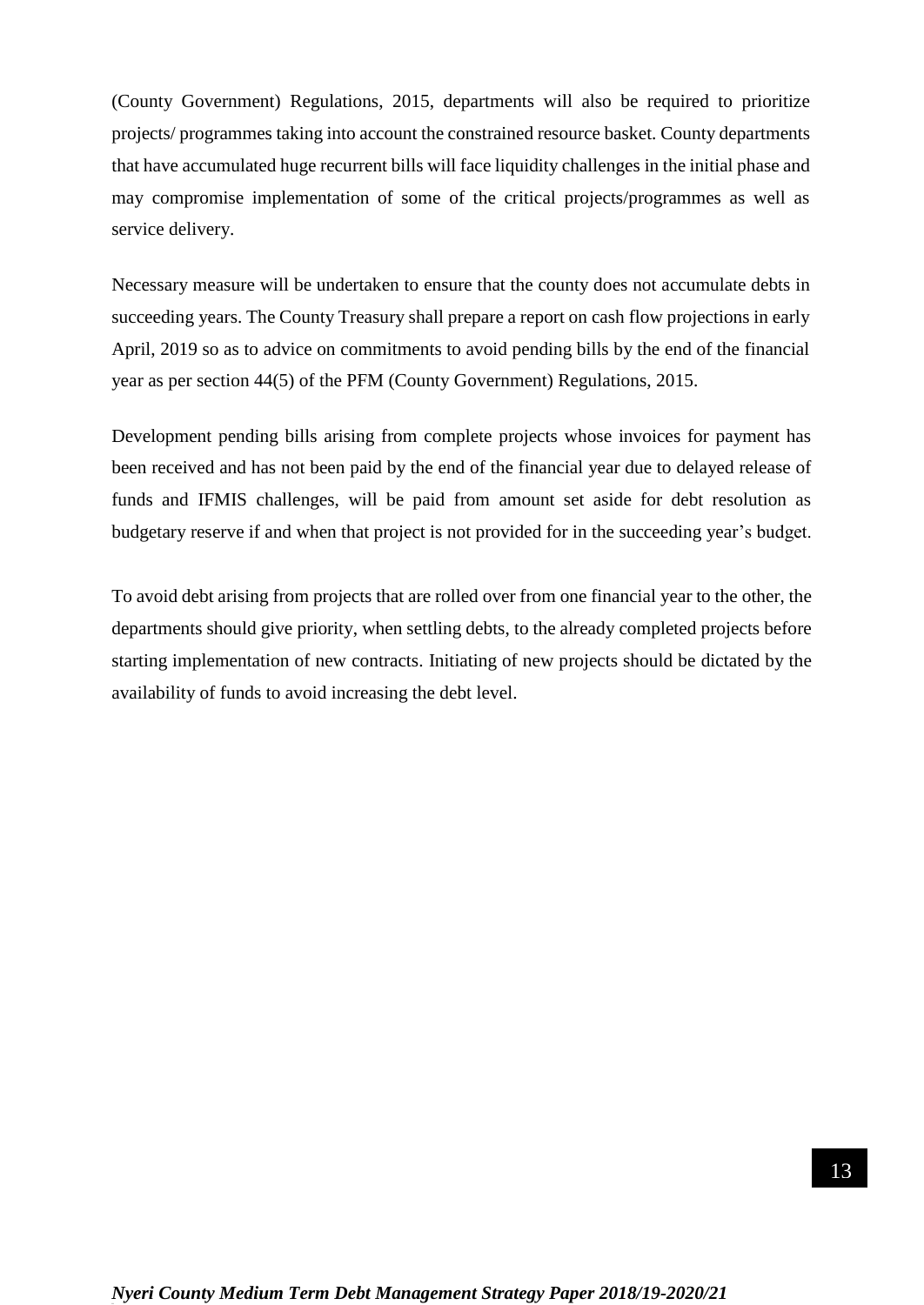(County Government) Regulations, 2015, departments will also be required to prioritize projects/ programmes taking into account the constrained resource basket. County departments that have accumulated huge recurrent bills will face liquidity challenges in the initial phase and may compromise implementation of some of the critical projects/programmes as well as service delivery.

Necessary measure will be undertaken to ensure that the county does not accumulate debts in succeeding years. The County Treasury shall prepare a report on cash flow projections in early April, 2019 so as to advice on commitments to avoid pending bills by the end of the financial year as per section 44(5) of the PFM (County Government) Regulations, 2015.

Development pending bills arising from complete projects whose invoices for payment has been received and has not been paid by the end of the financial year due to delayed release of funds and IFMIS challenges, will be paid from amount set aside for debt resolution as budgetary reserve if and when that project is not provided for in the succeeding year's budget.

To avoid debt arising from projects that are rolled over from one financial year to the other, the departments should give priority, when settling debts, to the already completed projects before starting implementation of new contracts. Initiating of new projects should be dictated by the availability of funds to avoid increasing the debt level.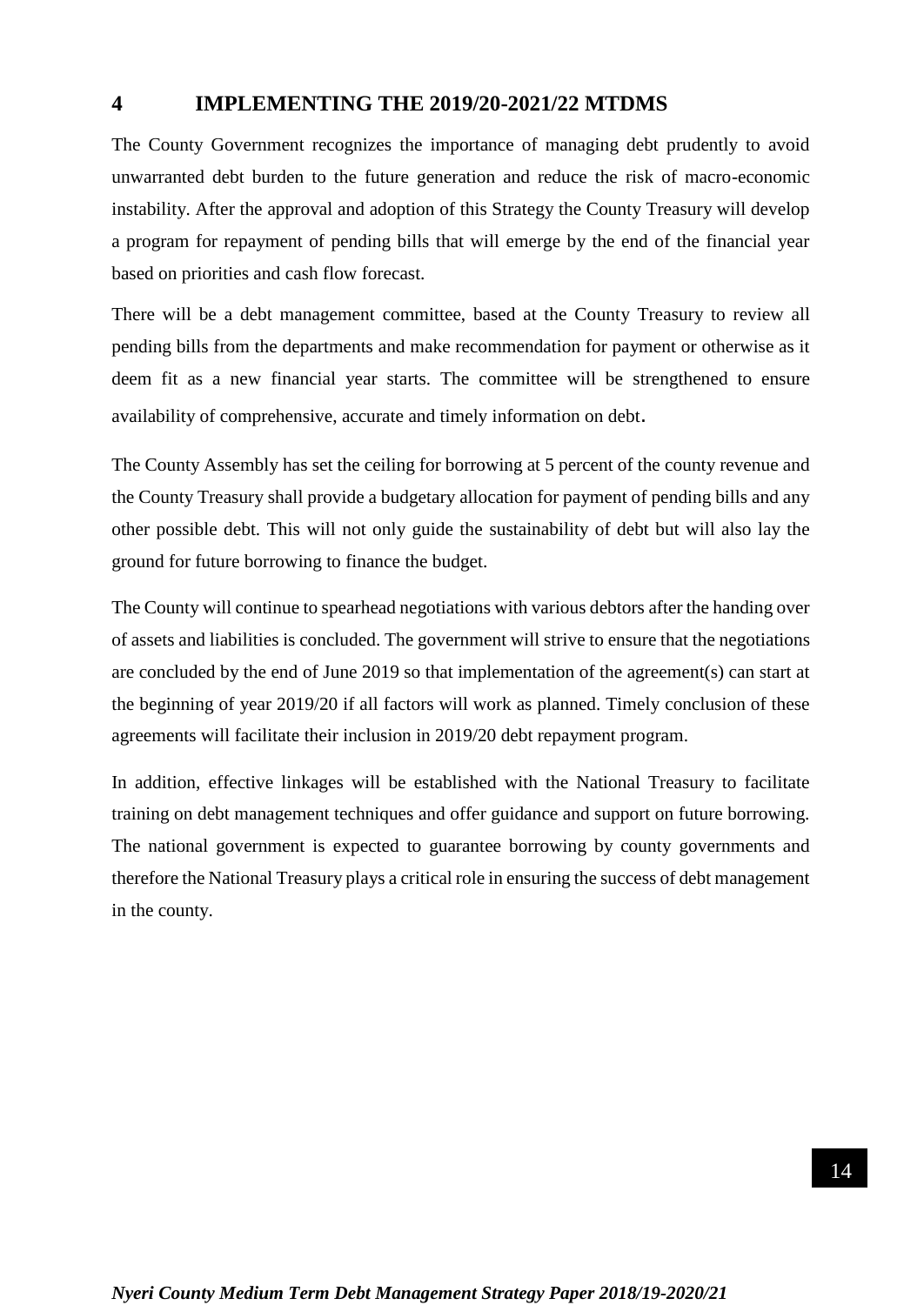#### <span id="page-19-0"></span>**4 IMPLEMENTING THE 2019/20-2021/22 MTDMS**

The County Government recognizes the importance of managing debt prudently to avoid unwarranted debt burden to the future generation and reduce the risk of macro-economic instability. After the approval and adoption of this Strategy the County Treasury will develop a program for repayment of pending bills that will emerge by the end of the financial year based on priorities and cash flow forecast.

There will be a debt management committee, based at the County Treasury to review all pending bills from the departments and make recommendation for payment or otherwise as it deem fit as a new financial year starts. The committee will be strengthened to ensure availability of comprehensive, accurate and timely information on debt.

The County Assembly has set the ceiling for borrowing at 5 percent of the county revenue and the County Treasury shall provide a budgetary allocation for payment of pending bills and any other possible debt. This will not only guide the sustainability of debt but will also lay the ground for future borrowing to finance the budget.

The County will continue to spearhead negotiations with various debtors after the handing over of assets and liabilities is concluded. The government will strive to ensure that the negotiations are concluded by the end of June 2019 so that implementation of the agreement(s) can start at the beginning of year 2019/20 if all factors will work as planned. Timely conclusion of these agreements will facilitate their inclusion in 2019/20 debt repayment program.

In addition, effective linkages will be established with the National Treasury to facilitate training on debt management techniques and offer guidance and support on future borrowing. The national government is expected to guarantee borrowing by county governments and therefore the National Treasury plays a critical role in ensuring the success of debt management in the county.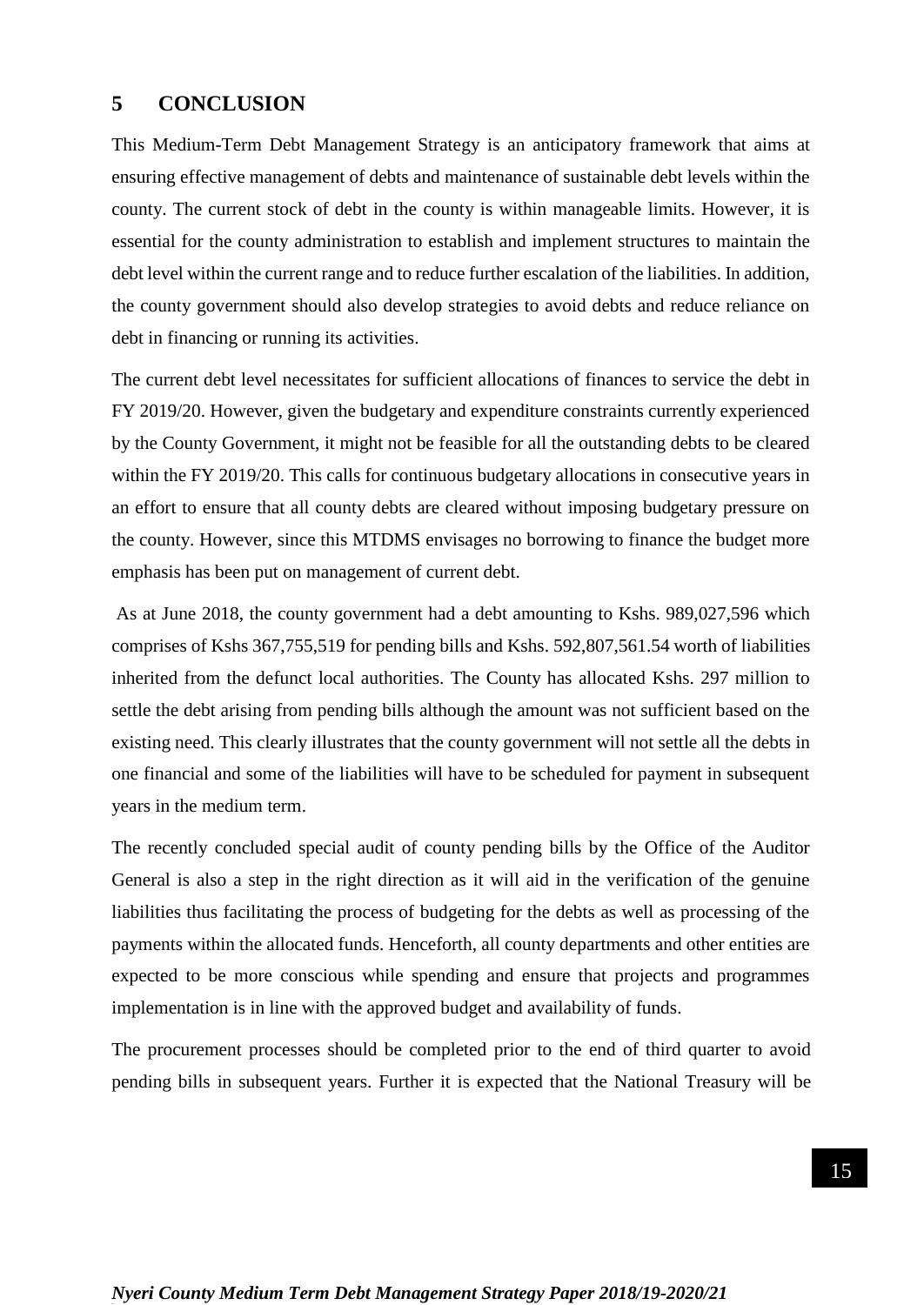## <span id="page-20-0"></span>**5 CONCLUSION**

This Medium-Term Debt Management Strategy is an anticipatory framework that aims at ensuring effective management of debts and maintenance of sustainable debt levels within the county. The current stock of debt in the county is within manageable limits. However, it is essential for the county administration to establish and implement structures to maintain the debt level within the current range and to reduce further escalation of the liabilities. In addition, the county government should also develop strategies to avoid debts and reduce reliance on debt in financing or running its activities.

The current debt level necessitates for sufficient allocations of finances to service the debt in FY 2019/20. However, given the budgetary and expenditure constraints currently experienced by the County Government, it might not be feasible for all the outstanding debts to be cleared within the FY 2019/20. This calls for continuous budgetary allocations in consecutive years in an effort to ensure that all county debts are cleared without imposing budgetary pressure on the county. However, since this MTDMS envisages no borrowing to finance the budget more emphasis has been put on management of current debt.

As at June 2018, the county government had a debt amounting to Kshs. 989,027,596 which comprises of Kshs 367,755,519 for pending bills and Kshs. 592,807,561.54 worth of liabilities inherited from the defunct local authorities. The County has allocated Kshs. 297 million to settle the debt arising from pending bills although the amount was not sufficient based on the existing need. This clearly illustrates that the county government will not settle all the debts in one financial and some of the liabilities will have to be scheduled for payment in subsequent years in the medium term.

The recently concluded special audit of county pending bills by the Office of the Auditor General is also a step in the right direction as it will aid in the verification of the genuine liabilities thus facilitating the process of budgeting for the debts as well as processing of the payments within the allocated funds. Henceforth, all county departments and other entities are expected to be more conscious while spending and ensure that projects and programmes implementation is in line with the approved budget and availability of funds.

The procurement processes should be completed prior to the end of third quarter to avoid pending bills in subsequent years. Further it is expected that the National Treasury will be